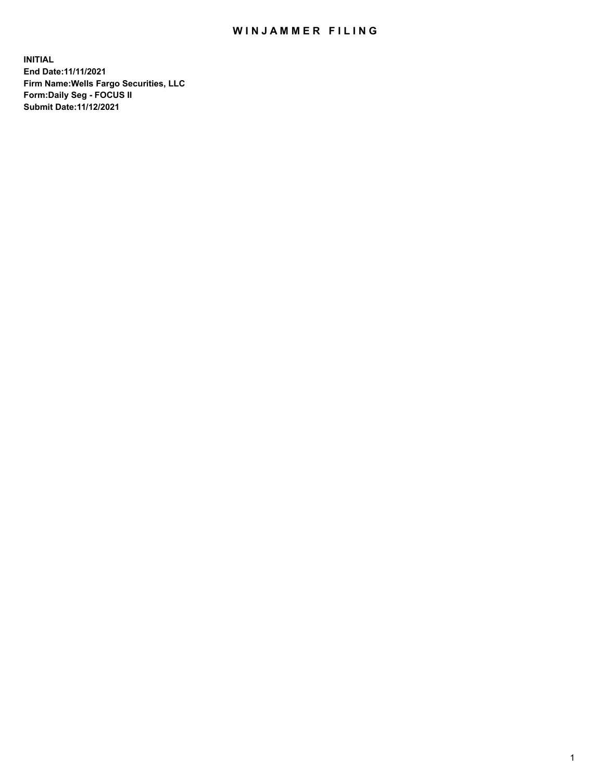## WIN JAMMER FILING

**INITIAL End Date:11/11/2021 Firm Name:Wells Fargo Securities, LLC Form:Daily Seg - FOCUS II Submit Date:11/12/2021**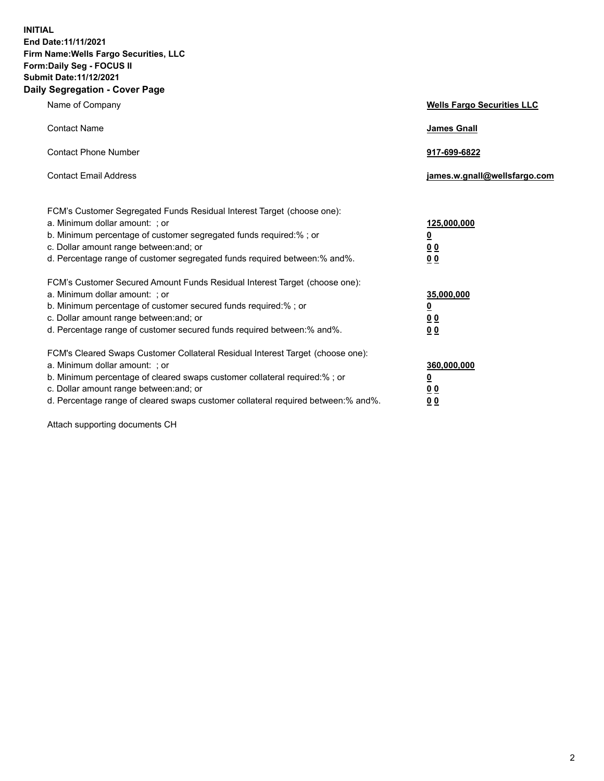**INITIAL End Date:11/11/2021 Firm Name:Wells Fargo Securities, LLC Form:Daily Seg - FOCUS II Submit Date:11/12/2021 Daily Segregation - Cover Page**

| Name of Company                                                                                                                                                                                                                                                                                                                | <b>Wells Fargo Securities LLC</b>                      |
|--------------------------------------------------------------------------------------------------------------------------------------------------------------------------------------------------------------------------------------------------------------------------------------------------------------------------------|--------------------------------------------------------|
| <b>Contact Name</b>                                                                                                                                                                                                                                                                                                            | <b>James Gnall</b>                                     |
| <b>Contact Phone Number</b>                                                                                                                                                                                                                                                                                                    | 917-699-6822                                           |
| <b>Contact Email Address</b>                                                                                                                                                                                                                                                                                                   | james.w.gnall@wellsfargo.com                           |
| FCM's Customer Segregated Funds Residual Interest Target (choose one):<br>a. Minimum dollar amount: ; or<br>b. Minimum percentage of customer segregated funds required:% ; or<br>c. Dollar amount range between: and; or<br>d. Percentage range of customer segregated funds required between: % and %.                       | 125,000,000<br><u>0</u><br><u>00</u><br>0 <sub>0</sub> |
| FCM's Customer Secured Amount Funds Residual Interest Target (choose one):<br>a. Minimum dollar amount: ; or<br>b. Minimum percentage of customer secured funds required:%; or<br>c. Dollar amount range between: and; or<br>d. Percentage range of customer secured funds required between: % and %.                          | 35,000,000<br><u>0</u><br>00<br>0 <sub>0</sub>         |
| FCM's Cleared Swaps Customer Collateral Residual Interest Target (choose one):<br>a. Minimum dollar amount: ; or<br>b. Minimum percentage of cleared swaps customer collateral required:% ; or<br>c. Dollar amount range between: and; or<br>d. Percentage range of cleared swaps customer collateral required between:% and%. | 360,000,000<br><u>0</u><br>0 Q<br>00                   |

Attach supporting documents CH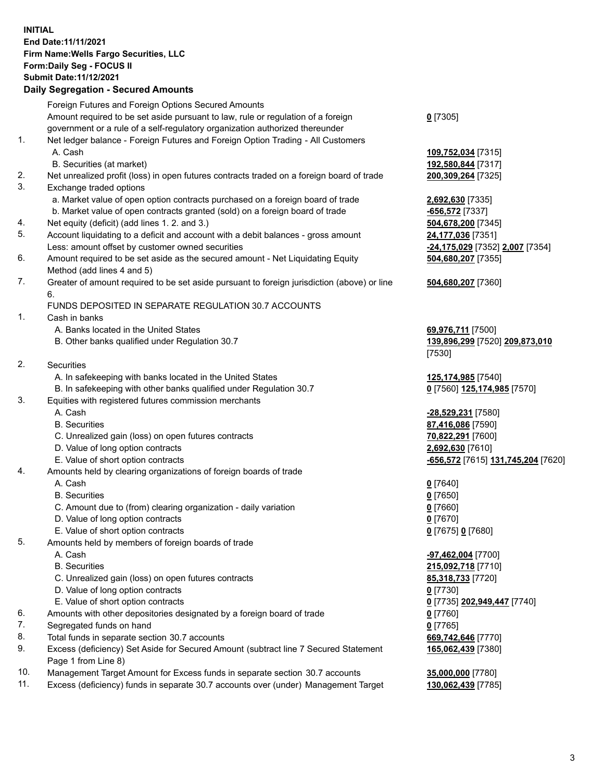## **INITIAL End Date:11/11/2021 Firm Name:Wells Fargo Securities, LLC Form:Daily Seg - FOCUS II Submit Date:11/12/2021**

## **Daily Segregation - Secured Amounts**

| Foreign Futures and Foreign Options Secured Amounts                                                        |                                                                                                                                                                                                                                                                                                                                                                                                                                                                                                                                                                                                                                           |
|------------------------------------------------------------------------------------------------------------|-------------------------------------------------------------------------------------------------------------------------------------------------------------------------------------------------------------------------------------------------------------------------------------------------------------------------------------------------------------------------------------------------------------------------------------------------------------------------------------------------------------------------------------------------------------------------------------------------------------------------------------------|
| Amount required to be set aside pursuant to law, rule or regulation of a foreign                           | $0$ [7305]                                                                                                                                                                                                                                                                                                                                                                                                                                                                                                                                                                                                                                |
| government or a rule of a self-regulatory organization authorized thereunder                               |                                                                                                                                                                                                                                                                                                                                                                                                                                                                                                                                                                                                                                           |
|                                                                                                            |                                                                                                                                                                                                                                                                                                                                                                                                                                                                                                                                                                                                                                           |
| A. Cash                                                                                                    | 109,752,034 [7315]                                                                                                                                                                                                                                                                                                                                                                                                                                                                                                                                                                                                                        |
|                                                                                                            | 192,580,844 [7317]                                                                                                                                                                                                                                                                                                                                                                                                                                                                                                                                                                                                                        |
|                                                                                                            | 200,309,264 [7325]                                                                                                                                                                                                                                                                                                                                                                                                                                                                                                                                                                                                                        |
| Exchange traded options                                                                                    |                                                                                                                                                                                                                                                                                                                                                                                                                                                                                                                                                                                                                                           |
|                                                                                                            | 2,692,630 [7335]                                                                                                                                                                                                                                                                                                                                                                                                                                                                                                                                                                                                                          |
| b. Market value of open contracts granted (sold) on a foreign board of trade                               | -656,572 <sup>[7337]</sup>                                                                                                                                                                                                                                                                                                                                                                                                                                                                                                                                                                                                                |
| Net equity (deficit) (add lines 1. 2. and 3.)                                                              | 504,678,200 [7345]                                                                                                                                                                                                                                                                                                                                                                                                                                                                                                                                                                                                                        |
| Account liquidating to a deficit and account with a debit balances - gross amount                          | 24,177,036 [7351]                                                                                                                                                                                                                                                                                                                                                                                                                                                                                                                                                                                                                         |
| Less: amount offset by customer owned securities                                                           | -24,175,029 [7352] 2,007 [7354]                                                                                                                                                                                                                                                                                                                                                                                                                                                                                                                                                                                                           |
| Amount required to be set aside as the secured amount - Net Liquidating Equity                             | 504,680,207 [7355]                                                                                                                                                                                                                                                                                                                                                                                                                                                                                                                                                                                                                        |
| Method (add lines 4 and 5)                                                                                 |                                                                                                                                                                                                                                                                                                                                                                                                                                                                                                                                                                                                                                           |
| Greater of amount required to be set aside pursuant to foreign jurisdiction (above) or line                | 504,680,207 [7360]                                                                                                                                                                                                                                                                                                                                                                                                                                                                                                                                                                                                                        |
| 6.                                                                                                         |                                                                                                                                                                                                                                                                                                                                                                                                                                                                                                                                                                                                                                           |
| FUNDS DEPOSITED IN SEPARATE REGULATION 30.7 ACCOUNTS                                                       |                                                                                                                                                                                                                                                                                                                                                                                                                                                                                                                                                                                                                                           |
| Cash in banks                                                                                              |                                                                                                                                                                                                                                                                                                                                                                                                                                                                                                                                                                                                                                           |
| A. Banks located in the United States                                                                      | 69,976,711 [7500]                                                                                                                                                                                                                                                                                                                                                                                                                                                                                                                                                                                                                         |
| B. Other banks qualified under Regulation 30.7                                                             | 139,896,299 [7520] 209,873,010                                                                                                                                                                                                                                                                                                                                                                                                                                                                                                                                                                                                            |
|                                                                                                            | [7530]                                                                                                                                                                                                                                                                                                                                                                                                                                                                                                                                                                                                                                    |
| Securities                                                                                                 |                                                                                                                                                                                                                                                                                                                                                                                                                                                                                                                                                                                                                                           |
| A. In safekeeping with banks located in the United States                                                  | 125,174,985 [7540]                                                                                                                                                                                                                                                                                                                                                                                                                                                                                                                                                                                                                        |
| B. In safekeeping with other banks qualified under Regulation 30.7                                         | 0 [7560] 125,174,985 [7570]                                                                                                                                                                                                                                                                                                                                                                                                                                                                                                                                                                                                               |
| Equities with registered futures commission merchants                                                      |                                                                                                                                                                                                                                                                                                                                                                                                                                                                                                                                                                                                                                           |
| A. Cash                                                                                                    | -28,529,231 [7580]                                                                                                                                                                                                                                                                                                                                                                                                                                                                                                                                                                                                                        |
| <b>B.</b> Securities                                                                                       | 87,416,086 [7590]                                                                                                                                                                                                                                                                                                                                                                                                                                                                                                                                                                                                                         |
| C. Unrealized gain (loss) on open futures contracts                                                        | 70,822,291 [7600]                                                                                                                                                                                                                                                                                                                                                                                                                                                                                                                                                                                                                         |
| D. Value of long option contracts                                                                          | 2,692,630 [7610]                                                                                                                                                                                                                                                                                                                                                                                                                                                                                                                                                                                                                          |
| E. Value of short option contracts                                                                         | <mark>-656,572</mark> [7615] <u>131,745,204</u> [7620]                                                                                                                                                                                                                                                                                                                                                                                                                                                                                                                                                                                    |
| Amounts held by clearing organizations of foreign boards of trade                                          |                                                                                                                                                                                                                                                                                                                                                                                                                                                                                                                                                                                                                                           |
| A. Cash                                                                                                    | $0$ [7640]                                                                                                                                                                                                                                                                                                                                                                                                                                                                                                                                                                                                                                |
| <b>B.</b> Securities                                                                                       | $0$ [7650]                                                                                                                                                                                                                                                                                                                                                                                                                                                                                                                                                                                                                                |
| C. Amount due to (from) clearing organization - daily variation                                            | $0$ [7660]                                                                                                                                                                                                                                                                                                                                                                                                                                                                                                                                                                                                                                |
|                                                                                                            | $0$ [7670]                                                                                                                                                                                                                                                                                                                                                                                                                                                                                                                                                                                                                                |
| E. Value of short option contracts                                                                         | 0 [7675] 0 [7680]                                                                                                                                                                                                                                                                                                                                                                                                                                                                                                                                                                                                                         |
|                                                                                                            |                                                                                                                                                                                                                                                                                                                                                                                                                                                                                                                                                                                                                                           |
|                                                                                                            | -97,462,004 [7700]                                                                                                                                                                                                                                                                                                                                                                                                                                                                                                                                                                                                                        |
| <b>B.</b> Securities                                                                                       | 215,092,718 [7710]                                                                                                                                                                                                                                                                                                                                                                                                                                                                                                                                                                                                                        |
|                                                                                                            | 85,318,733 [7720]                                                                                                                                                                                                                                                                                                                                                                                                                                                                                                                                                                                                                         |
|                                                                                                            | $0$ [7730]                                                                                                                                                                                                                                                                                                                                                                                                                                                                                                                                                                                                                                |
|                                                                                                            | 0 [7735] 202,949,447 [7740]                                                                                                                                                                                                                                                                                                                                                                                                                                                                                                                                                                                                               |
|                                                                                                            | 0 [7760]                                                                                                                                                                                                                                                                                                                                                                                                                                                                                                                                                                                                                                  |
|                                                                                                            | $0$ [7765]                                                                                                                                                                                                                                                                                                                                                                                                                                                                                                                                                                                                                                |
| Total funds in separate section 30.7 accounts                                                              | 669,742,646 [7770]                                                                                                                                                                                                                                                                                                                                                                                                                                                                                                                                                                                                                        |
| Excess (deficiency) Set Aside for Secured Amount (subtract line 7 Secured Statement<br>Page 1 from Line 8) | 165,062,439 [7380]                                                                                                                                                                                                                                                                                                                                                                                                                                                                                                                                                                                                                        |
|                                                                                                            | Net ledger balance - Foreign Futures and Foreign Option Trading - All Customers<br>B. Securities (at market)<br>Net unrealized profit (loss) in open futures contracts traded on a foreign board of trade<br>a. Market value of open option contracts purchased on a foreign board of trade<br>D. Value of long option contracts<br>Amounts held by members of foreign boards of trade<br>A. Cash<br>C. Unrealized gain (loss) on open futures contracts<br>D. Value of long option contracts<br>E. Value of short option contracts<br>Amounts with other depositories designated by a foreign board of trade<br>Segregated funds on hand |

- 10. Management Target Amount for Excess funds in separate section 30.7 accounts **35,000,000** [7780]
- 11. Excess (deficiency) funds in separate 30.7 accounts over (under) Management Target **130,062,439** [7785]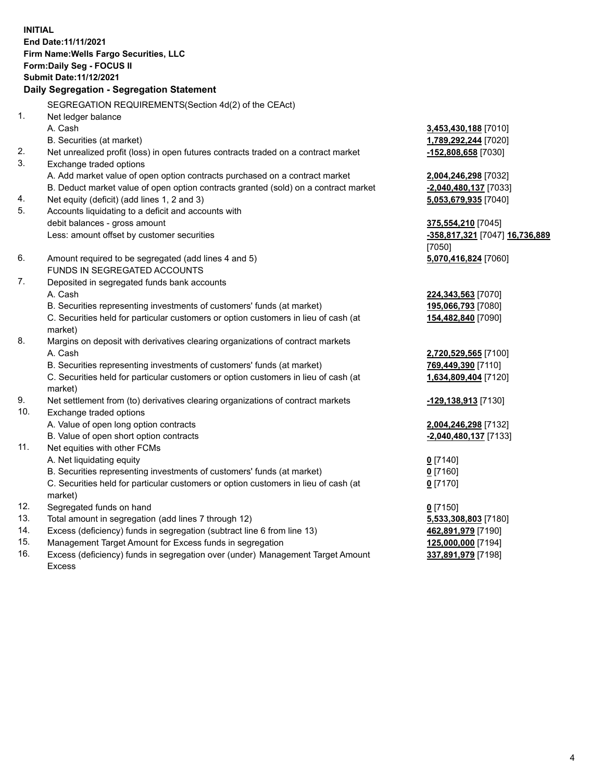**INITIAL End Date:11/11/2021 Firm Name:Wells Fargo Securities, LLC Form:Daily Seg - FOCUS II Submit Date:11/12/2021 Daily Segregation - Segregation Statement** SEGREGATION REQUIREMENTS(Section 4d(2) of the CEAct) 1. Net ledger balance

A. Cash **3,453,430,188** [7010] B. Securities (at market) **1,789,292,244** [7020] 2. Net unrealized profit (loss) in open futures contracts traded on a contract market **-152,808,658** [7030] 3. Exchange traded options A. Add market value of open option contracts purchased on a contract market **2,004,246,298** [7032] B. Deduct market value of open option contracts granted (sold) on a contract market **-2,040,480,137** [7033] 4. Net equity (deficit) (add lines 1, 2 and 3) **5,053,679,935** [7040] 5. Accounts liquidating to a deficit and accounts with debit balances - gross amount **375,554,210** [7045] Less: amount offset by customer securities **-358,817,321** [7047] **16,736,889** [7050] 6. Amount required to be segregated (add lines 4 and 5) **5,070,416,824** [7060] FUNDS IN SEGREGATED ACCOUNTS 7. Deposited in segregated funds bank accounts A. Cash **224,343,563** [7070] B. Securities representing investments of customers' funds (at market) **195,066,793** [7080] C. Securities held for particular customers or option customers in lieu of cash (at market) **154,482,840** [7090] 8. Margins on deposit with derivatives clearing organizations of contract markets A. Cash **2,720,529,565** [7100] B. Securities representing investments of customers' funds (at market) **769,449,390** [7110] C. Securities held for particular customers or option customers in lieu of cash (at market) **1,634,809,404** [7120] 9. Net settlement from (to) derivatives clearing organizations of contract markets **-129,138,913** [7130] 10. Exchange traded options A. Value of open long option contracts **2,004,246,298** [7132] B. Value of open short option contracts **-2,040,480,137** [7133] 11. Net equities with other FCMs A. Net liquidating equity **0** [7140] B. Securities representing investments of customers' funds (at market) **0** [7160] C. Securities held for particular customers or option customers in lieu of cash (at market) **0** [7170] 12. Segregated funds on hand **0** [7150] 13. Total amount in segregation (add lines 7 through 12) **5,533,308,803** [7180] 14. Excess (deficiency) funds in segregation (subtract line 6 from line 13) **462,891,979** [7190] 15. Management Target Amount for Excess funds in segregation **125,000,000** [7194] 16. Excess (deficiency) funds in segregation over (under) Management Target Amount Excess **337,891,979** [7198]